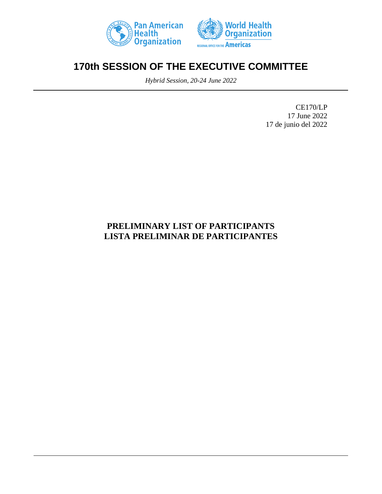



# **170th SESSION OF THE EXECUTIVE COMMITTEE**

*Hybrid Session, 20-24 June 2022*

CE170/LP 17 June 2022 17 de junio del 2022

## **PRELIMINARY LIST OF PARTICIPANTS LISTA PRELIMINAR DE PARTICIPANTES**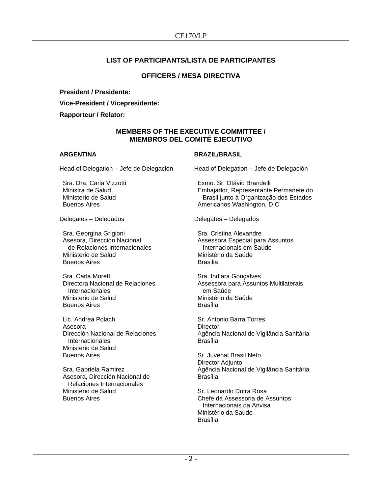## **LIST OF PARTICIPANTS/LISTA DE PARTICIPANTES**

## **OFFICERS / MESA DIRECTIVA**

**President / Presidente:**

**Vice-President / Vicepresidente:**

**Rapporteur / Relator:**

## **MEMBERS OF THE EXECUTIVE COMMITTEE / MIEMBROS DEL COMITÉ EJECUTIVO**

## **ARGENTINA**

Head of Delegation – Jefe de Delegación

Sra. Dra. Carla Vizzotti Ministra de Salud Ministerio de Salud Buenos Aires

Delegates – Delegados

Sra. Georgina Grigioni Asesora, Dirección Nacional de Relaciones Internacionales Ministerio de Salud Buenos Aires

Sra. Carla Moretti Directora Nacional de Relaciones **Internacionales** Ministerio de Salud Buenos Aires

Lic. Andrea Polach Asesora Dirección Nacional de Relaciones Internacionales Ministerio de Salud Buenos Aires

Sra. Gabriela Ramirez Asesora, Dirección Nacional de Relaciones Internacionales Ministerio de Salud Buenos Aires

## **BRAZIL/BRASIL**

Head of Delegation – Jefe de Delegación

Exmo. Sr. Otávio Brandelli Embajador, Representante Permanete do Brasil junto à Organização dos Estados Americanos Washington, D.C

Delegates – Delegados

Sra. Cristina Alexandre Assessora Especial para Assuntos Internacionais em Saúde Ministério da Saúde Brasilia

Sra. Indiara Gonçalves Assessora para Assuntos Multilaterais em Saúde Ministério da Saúde Brasília

Sr. Antonio Barra Torres **Director** Agência Nacional de Vigilância Sanitária Brasília

Sr. Juvenal Brasil Neto Director Adjunto Agência Nacional de Vigilância Sanitária Brasília

Sr. Leonardo Dutra Rosa Chefe da Assessoria de Assuntos Internacionais da Anvisa Ministério da Saúde Brasília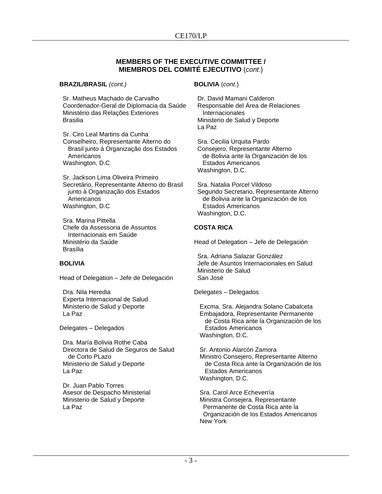## **MEMBERS OF THE EXECUTIVE COMMITTEE / MIEMBROS DEL COMITÉ EJECUTIVO** (*cont*.)

**BRAZIL/BRASIL** *(cont.)*

Sr. Matheus Machado de Carvalho Coordenador-Geral de Diplomacia da Saúde Ministério das Relações Exteriores Brasilia

Sr. Ciro Leal Martins da Cunha Conselheiro, Representante Alterno do Brasil junto à Organização dos Estados Americanos Washington, D.C

Sr. Jackson Lima Oliveira Primeiro Secretário, Representante Alterno do Brasil junto à Organização dos Estados Americanos Washington, D.C

Sra. Marina Pittella Chefe da Assessoria de Assuntos Internacionais em Saúde Ministério da Saúde Brasília

## **BOLIVIA**

Head of Delegation – Jefe de Delegación

Dra. Nila Heredia Experta Internacional de Salud Ministerio de Salud y Deporte La Paz

Delegates – Delegados

Dra. María Bolivia Rothe Caba Directora de Salud de Seguros de Salud de Corto PLazo Ministerio de Salud y Deporte La Paz

Dr. Juan Pablo Torres Asesor de Despacho Ministerial Ministerio de Salud y Deporte La Paz

## **BOLIVIA** (*cont*.)

Dr. David Mamani Calderon Responsable del Área de Relaciones Internacionales Ministerio de Salud y Deporte La Paz

Sra. Cecilia Urquita Pardo Consejero, Representante Alterno de Bolivia ante la Organización de los Estados Americanos Washington, D.C.

Sra. Natalia Porcel Vildoso Segundo Secretario, Representante Alterno de Bolivia ante la Organización de los Estados Americanos Washington, D.C.

## **COSTA RICA**

Head of Delegation – Jefe de Delegación

Sra. Adriana Salazar González Jefe de Asuntos Internacionales en Salud Ministerio de Salud San José

Delegates – Delegados

Excma. Sra. Alejandra Solano Cabalceta Embajadora, Representante Permanente de Costa Rica ante la Organización de los Estados Americanos Washington, D.C.

Sr. Antonio Alarcón Zamora Ministro Consejero, Representante Alterno de Costa Rica ante la Organización de los Estados Americanos Washington, D.C.

Sra. Carol Arce Echeverría Ministra Consejera, Representante Permanente de Costa Rica ante la Organización de los Estados Americanos New York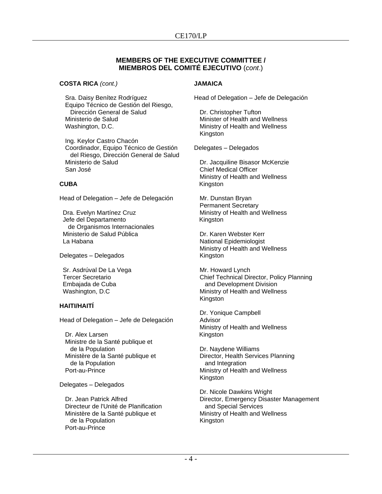## **MEMBERS OF THE EXECUTIVE COMMITTEE / MIEMBROS DEL COMITÉ EJECUTIVO** (*cont*.)

**COSTA RICA** *(cont.)*

Sra. Daisy Benítez Rodríguez Equipo Técnico de Gestión del Riesgo, Dirección General de Salud Ministerio de Salud Washington, D.C.

Ing. Keylor Castro Chacón Coordinador, Equipo Técnico de Gestión del Riesgo, Dirección General de Salud Ministerio de Salud San José

## **CUBA**

Head of Delegation – Jefe de Delegación

Dra. Evelyn Martínez Cruz Jefe del Departamento de Organismos Internacionales Ministerio de Salud Pública La Habana

Delegates – Delegados

Sr. Asdrúval De La Vega Tercer Secretario Embajada de Cuba Washington, D.C

## **HAITI/HAITÍ**

Head of Delegation – Jefe de Delegación

Dr. Alex Larsen Ministre de la Santé publique et de la Population Ministère de la Santé publique et de la Population Port-au-Prince

Delegates – Delegados

Dr. Jean Patrick Alfred Directeur de l'Unité de Planification Ministère de la Santé publique et de la Population Port-au-Prince

## **JAMAICA**

Head of Delegation – Jefe de Delegación

Dr. Christopher Tufton Minister of Health and Wellness Ministry of Health and Wellness Kingston

Delegates – Delegados

Dr. Jacquiline Bisasor McKenzie Chief Medical Officer Ministry of Health and Wellness Kingston

Mr. Dunstan Bryan Permanent Secretary Ministry of Health and Wellness Kingston

Dr. Karen Webster Kerr National Epidemiologist Ministry of Health and Wellness Kingston

Mr. Howard Lynch Chief Technical Director, Policy Planning and Development Division Ministry of Health and Wellness Kingston

Dr. Yonique Campbell Advisor Ministry of Health and Wellness Kingston

Dr. Naydene Williams Director, Health Services Planning and Integration Ministry of Health and Wellness Kingston

Dr. Nicole Dawkins Wright Director, Emergency Disaster Management and Special Services Ministry of Health and Wellness Kingston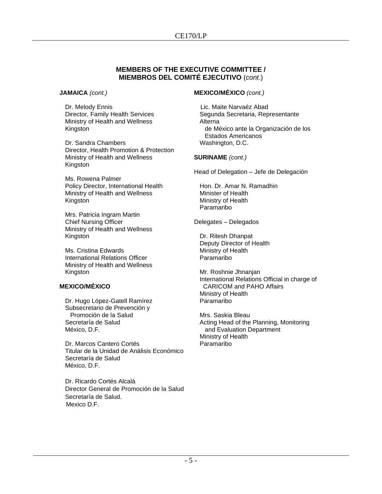## **MEMBERS OF THE EXECUTIVE COMMITTEE / MIEMBROS DEL COMITÉ EJECUTIVO** (*cont*.)

#### **JAMAICA** *(cont.)*

Dr. Melody Ennis Director, Family Health Services Ministry of Health and Wellness Kingston

Dr. Sandra Chambers Director, Health Promotion & Protection Ministry of Health and Wellness Kingston

Ms. Rowena Palmer Policy Director, International Health Ministry of Health and Wellness Kingston

Mrs. Patricia Ingram Martin Chief Nursing Officer Ministry of Health and Wellness Kingston

Ms. Cristina Edwards International Relations Officer Ministry of Health and Wellness Kingston

## **MEXICO/MÉXICO**

Dr. Hugo López-Gatell Ramírez Subsecretario de Prevención y Promoción de la Salud Secretaría de Salud México, D.F.

Dr. Marcos Cantero Cortés Titular de la Unidad de Análisis Económico Secretaría de Salud México, D.F.

Dr. Ricardo Cortés Alcalá Director General de Promoción de la Salud Secretaría de Salud. Mexico D.F.

## **MEXICO/MÉXICO** *(cont.)*

 Lic. Maite Narvaéz Abad Segunda Secretaria, Representante Alterna de México ante la Organización de los Estados Americanos Washington, D.C.

## **SURINAME** *(cont.)*

Head of Delegation – Jefe de Delegación

Hon. Dr. Amar N. Ramadhin Minister of Health Ministry of Health Paramaribo

Delegates – Delegados

Dr. Ritesh Dhanpat Deputy Director of Health Ministry of Health Paramaribo

Mr. Roshnie Jhnanjan International Relations Official in charge of CARICOM and PAHO Affairs Ministry of Health Paramaribo

Mrs. Saskia Bleau Acting Head of the Planning, Monitoring and Evaluation Department Ministry of Health Paramaribo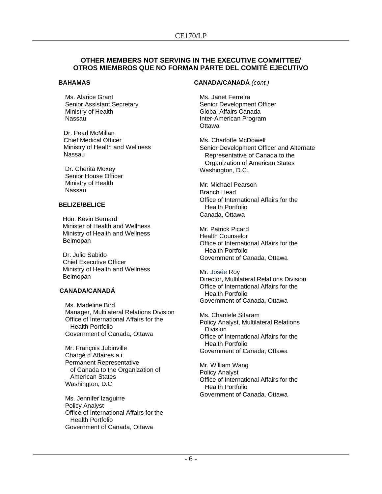#### **BAHAMAS**

Ms. Alarice Grant Senior Assistant Secretary Ministry of Health Nassau

Dr. Pearl McMillan Chief Medical Officer Ministry of Health and Wellness Nassau

Dr. Cherita Moxey Senior House Officer Ministry of Health Nassau

## **BELIZE/BELICE**

Hon. Kevin Bernard Minister of Health and Wellness Ministry of Health and Wellness Belmopan

Dr. Julio Sabido Chief Executive Officer Ministry of Health and Wellness Belmopan

## **CANADA/CANADÁ**

Ms. Madeline Bird Manager, Multilateral Relations Division Office of International Affairs for the Health Portfolio Government of Canada, Ottawa

Mr. François Jubinville Chargé d`Affaires a.i. Permanent Representative of Canada to the Organization of American States Washington, D.C

Ms. Jennifer Izaguirre Policy Analyst Office of International Affairs for the Health Portfolio Government of Canada, Ottawa

#### **CANADA/CANADÁ** *(cont.)*

Ms. Janet Ferreira Senior Development Officer Global Affairs Canada Inter-American Program **Ottawa** 

Ms. Charlotte McDowell Senior Development Officer and Alternate Representative of Canada to the Organization of American States Washington, D.C.

Mr. Michael Pearson Branch Head Office of International Affairs for the Health Portfolio Canada, Ottawa

Mr. Patrick Picard Health Counselor Office of International Affairs for the Health Portfolio Government of Canada, Ottawa

Mr. Josée Roy Director, Multilateral Relations Division Office of International Affairs for the Health Portfolio Government of Canada, Ottawa

Ms. Chantele Sitaram Policy Analyst, Multilateral Relations Division Office of International Affairs for the Health Portfolio Government of Canada, Ottawa

Mr. William Wang Policy Analyst Office of International Affairs for the Health Portfolio Government of Canada, Ottawa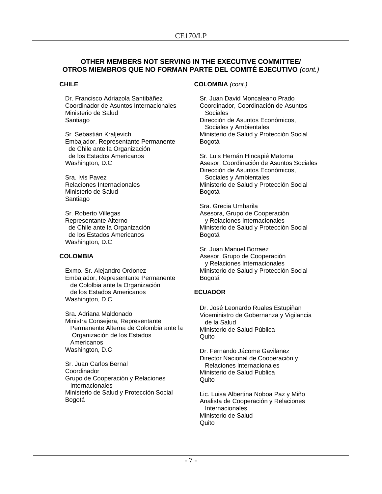## **CHILE**

Dr. Francisco Adriazola Santibáñez Coordinador de Asuntos Internacionales Ministerio de Salud Santiago

Sr. Sebastián Kraljevich Embajador, Representante Permanente de Chile ante la Organización de los Estados Americanos Washington, D.C

Sra. Ivis Pavez Relaciones Internacionales Ministerio de Salud Santiago

Sr. Roberto Villegas Representante Alterno de Chile ante la Organización de los Estados Americanos Washington, D.C

## **COLOMBIA**

Exmo. Sr. Alejandro Ordonez Embajador, Representante Permanente de Cololbia ante la Organización de los Estados Americanos Washington, D.C.

Sra. Adriana Maldonado Ministra Consejera, Representante Permanente Alterna de Colombia ante la Organización de los Estados Americanos Washington, D.C

Sr. Juan Carlos Bernal Coordinador Grupo de Cooperación y Relaciones Internacionales Ministerio de Salud y Protección Social Bogotá

## **COLOMBIA** *(cont.)*

Bogotá

Sr. Juan David Moncaleano Prado Coordinador, Coordinación de Asuntos Sociales Dirección de Asuntos Económicos, Sociales y Ambientales Ministerio de Salud y Protección Social

Sr. Luis Hernán Hincapié Matoma Asesor, Coordinación de Asuntos Sociales Dirección de Asuntos Económicos, Sociales y Ambientales Ministerio de Salud y Protección Social Bogotá

Sra. Grecia Umbarila Asesora, Grupo de Cooperación y Relaciones Internacionales Ministerio de Salud y Protección Social Bogotá

Sr. Juan Manuel Borraez Asesor, Grupo de Cooperación y Relaciones Internacionales Ministerio de Salud y Protección Social Bogotá

## **ECUADOR**

Dr. José Leonardo Ruales Estupiñan Viceministro de Gobernanza y Vigilancia de la Salud Ministerio de Salud Pública Quito

Dr. Fernando Jácome Gavilanez Director Nacional de Cooperación y Relaciones lnternacionales Ministerio de Salud Publica Quito

Lic. Luisa Albertina Noboa Paz y Miño Analista de Cooperación y Relaciones **Internacionales** Ministerio de Salud **Quito**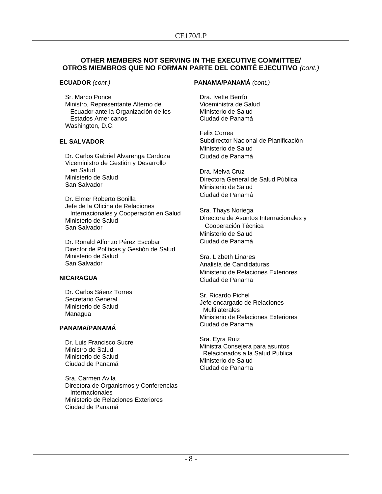**ECUADOR** *(cont.)*

Sr. Marco Ponce Ministro, Representante Alterno de Ecuador ante la Organización de los Estados Americanos Washington, D.C.

## **EL SALVADOR**

Dr. Carlos Gabriel Alvarenga Cardoza Viceministro de Gestión y Desarrollo en Salud Ministerio de Salud San Salvador

Dr. Elmer Roberto Bonilla Jefe de la Oficina de Relaciones Internacionales y Cooperación en Salud Ministerio de Salud San Salvador

Dr. Ronald Alfonzo Pérez Escobar Director de Políticas y Gestión de Salud Ministerio de Salud San Salvador

## **NICARAGUA**

Dr. Carlos Sáenz Torres Secretario General Ministerio de Salud Managua

## **PANAMA/PANAMÁ**

Dr. Luis Francisco Sucre Ministro de Salud Ministerio de Salud Ciudad de Panamá

Sra. Carmen Avila Directora de Organismos y Conferencias **Internacionales** Ministerio de Relaciones Exteriores Ciudad de Panamá

## **PANAMA/PANAMÁ** *(cont.)*

Dra. Ivette Berrío Viceministra de Salud Ministerio de Salud Ciudad de Panamá

Felix Correa Subdirector Nacional de Planificación Ministerio de Salud Ciudad de Panamá

Dra. Melva Cruz Directora General de Salud Pública Ministerio de Salud Ciudad de Panamá

Sra. Thays Noriega Directora de Asuntos Internacionales y Cooperación Técnica Ministerio de Salud Ciudad de Panamá

Sra. Lizbeth Linares Analista de Candidaturas Ministerio de Relaciones Exteriores Ciudad de Panama

Sr. Ricardo Pichel Jefe encargado de Relaciones **Multilaterales** Ministerio de Relaciones Exteriores Ciudad de Panama

Sra. Eyra Ruiz Ministra Consejera para asuntos Relacionados a la Salud Publica Ministerio de Salud Ciudad de Panama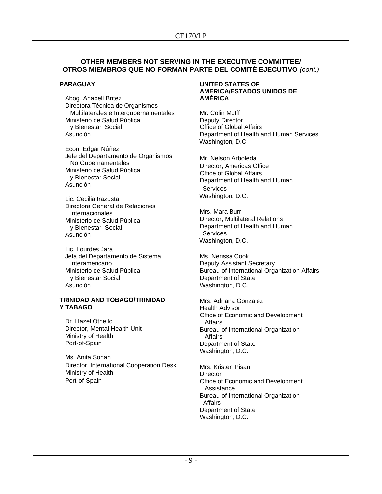## **PARAGUAY**

Abog. Anabell Britez Directora Técnica de Organismos Multilaterales e Intergubernamentales Ministerio de Salud Pública y Bienestar Social Asunción

Econ. Edgar Núñez Jefe del Departamento de Organismos No Gubernamentales Ministerio de Salud Pública y Bienestar Social Asunción

Lic. Cecilia Irazusta Directora General de Relaciones Internacionales Ministerio de Salud Pública y Bienestar Social Asunción

Lic. Lourdes Jara Jefa del Departamento de Sistema Interamericano Ministerio de Salud Pública y Bienestar Social Asunción

#### **TRINIDAD AND TOBAGO/TRINIDAD Y TABAGO**

Dr. Hazel Othello Director, Mental Health Unit Ministry of Health Port-of-Spain

Ms. Anita Sohan Director, International Cooperation Desk Ministry of Health Port-of-Spain

#### **UNITED STATES OF AMERICA/ESTADOS UNIDOS DE AMÉRICA**

Mr. Colin McIff Deputy Director Office of Global Affairs Department of Health and Human Services Washington, D.C

Mr. Nelson Arboleda Director, Americas Office Office of Global Affairs Department of Health and Human **Services** Washington, D.C.

Mrs. Mara Burr Director, Multilateral Relations Department of Health and Human **Services** Washington, D.C.

Ms. Nerissa Cook Deputy Assistant Secretary Bureau of International Organization Affairs Department of State Washington, D.C.

Mrs. Adriana Gonzalez Health Advisor Office of Economic and Development Affairs Bureau of International Organization **Affairs** Department of State Washington, D.C.

Mrs. Kristen Pisani **Director** Office of Economic and Development Assistance Bureau of International Organization Affairs Department of State Washington, D.C.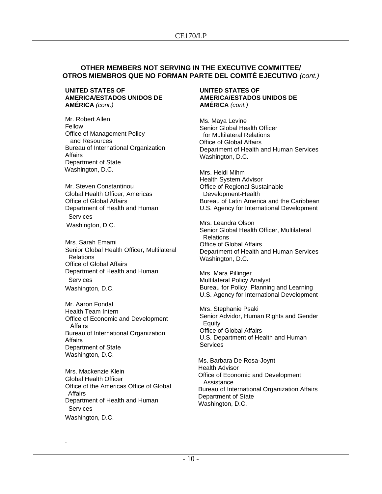#### **UNITED STATES OF AMERICA/ESTADOS UNIDOS DE AMÉRICA** *(cont.)*

Mr. Robert Allen Fellow Office of Management Policy and Resources Bureau of International Organization Affairs Department of State Washington, D.C.

Mr. Steven Constantinou Global Health Officer, Americas Office of Global Affairs Department of Health and Human Services Washington, D.C.

Mrs. Sarah Emami Senior Global Health Officer, Multilateral **Relations** Office of Global Affairs Department of Health and Human Services Washington, D.C.

Mr. Aaron Fondal Health Team Intern Office of Economic and Development Affairs  Bureau of International Organization Affairs  Department of State  Washington, D.C.

Mrs. Mackenzie Klein Global Health Officer Office of the Americas Office of Global Affairs Department of Health and Human **Services** Washington, D.C.

.

#### **UNITED STATES OF AMERICA/ESTADOS UNIDOS DE AMÉRICA** *(cont.)*

Ms. Maya Levine Senior Global Health Officer for Multilateral Relations Office of Global Affairs Department of Health and Human Services Washington, D.C.

Mrs. Heidi Mihm Health System Advisor Office of Regional Sustainable Development-Health Bureau of Latin America and the Caribbean U.S. Agency for International Development

Mrs. Leandra Olson Senior Global Health Officer, Multilateral Relations Office of Global Affairs Department of Health and Human Services Washington, D.C.

Mrs. Mara Pillinger Multilateral Policy Analyst Bureau for Policy, Planning and Learning U.S. Agency for International Development

Mrs. Stephanie Psaki Senior Advidor, Human Rights and Gender **Equity** Office of Global Affairs U.S. Department of Health and Human **Services** 

Ms. Barbara De Rosa-Joynt Health Advisor Office of Economic and Development Assistance Bureau of International Organization Affairs Department of State Washington, D.C.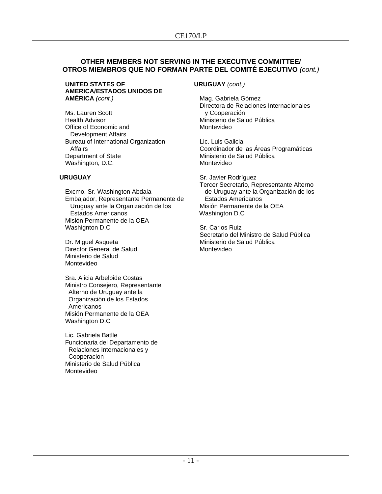#### **UNITED STATES OF AMERICA/ESTADOS UNIDOS DE AMÉRICA** *(cont.)*

Ms. Lauren Scott Health Advisor Office of Economic and Development Affairs Bureau of International Organization Affairs Department of State Washington, D.C.

## **URUGUAY**

Excmo. Sr. Washington Abdala Embajador, Representante Permanente de Uruguay ante la Organización de los Estados Americanos Misión Permanente de la OEA Washignton D.C

Dr. Miguel Asqueta Director General de Salud Ministerio de Salud Montevideo

Sra. Alicia Arbelbide Costas Ministro Consejero, Representante Alterno de Uruguay ante la Organización de los Estados Americanos Misión Permanente de la OEA Washington D.C

Lic. Gabriela Batlle Funcionaria del Departamento de Relaciones Internacionales y **Cooperacion** Ministerio de Salud Pública Montevideo

## **URUGUAY** *(cont.)*

Mag. Gabriela Gómez Directora de Relaciones Internacionales y Cooperación Ministerio de Salud Pública Montevideo

Lic. Luis Galicia Coordinador de las Áreas Programáticas Ministerio de Salud Pública Montevideo

Sr. Javier Rodríguez Tercer Secretario, Representante Alterno de Uruguay ante la Organización de los Estados Americanos Misión Permanente de la OEA Washington D.C

Sr. Carlos Ruiz Secretario del Ministro de Salud Pública Ministerio de Salud Pública Montevideo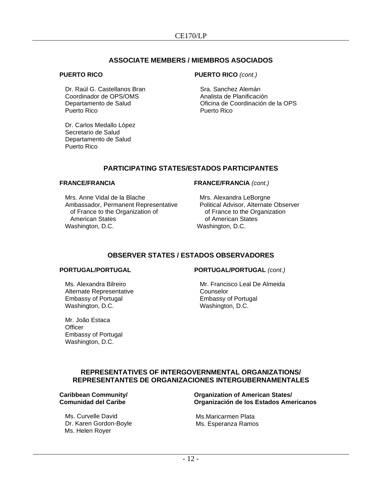## **ASSOCIATE MEMBERS / MIEMBROS ASOCIADOS**

#### **PUERTO RICO**

Dr. Raúl G. Castellanos Bran Coordinador de OPS/OMS Departamento de Salud Puerto Rico

Dr. Carlos Medallo López Secretario de Salud Departamento de Salud Puerto Rico

## **PUERTO RICO** *(cont.)*

Sra. Sanchez Alemán Analista de Planificación Oficina de Coordinación de la OPS Puerto Rico

## **PARTICIPATING STATES/ESTADOS PARTICIPANTES**

#### **FRANCE/FRANCIA**

Mrs. Anne Vidal de la Blache Ambassador, Permanent Representative of France to the Organization of American States Washington, D.C.

#### **FRANCE/FRANCIA** *(cont.)*

Mrs. Alexandra LeBorgne Political Advisor, Alternate Observer of France to the Organization of American States Washington, D.C.

## **OBSERVER STATES / ESTADOS OBSERVADORES**

## **PORTUGAL/PORTUGAL**

Ms. Alexandra Bilreiro Alternate Representative Embassy of Portugal Washington, D.C.

Mr. João Estaca **Officer** Embassy of Portugal Washington, D.C.

## **PORTUGAL/PORTUGAL** *(cont.)*

Mr. Francisco Leal De Almeida Counselor Embassy of Portugal Washington, D.C.

## **REPRESENTATIVES OF INTERGOVERNMENTAL ORGANIZATIONS/ REPRESENTANTES DE ORGANIZACIONES INTERGUBERNAMENTALES**

## **Caribbean Community/ Comunidad del Caribe**

Ms. Curvelle David Dr. Karen Gordon-Boyle Ms. Helen Royer

**Organization of American States/ Organización de los Estados Americanos**

Ms.Maricarmen Plata Ms. Esperanza Ramos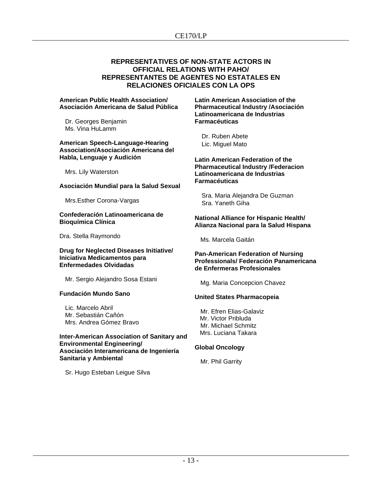## CE170/LP

## **REPRESENTATIVES OF NON-STATE ACTORS IN OFFICIAL RELATIONS WITH PAHO/ REPRESENTANTES DE AGENTES NO ESTATALES EN RELACIONES OFICIALES CON LA OPS**

#### **American Public Health Association/ Asociación Americana de Salud Pública**

Dr. Georges Benjamin Ms. Vina HuLamm

**American Speech-Language-Hearing Association/Asociación Americana del Habla, Lenguaje y Audición**

Mrs. Lily Waterston

#### **Asociación Mundial para la Salud Sexual**

Mrs.Esther Corona-Vargas

#### **Confederación Latinoamericana de Bioquímica Clínica**

Dra. Stella Raymondo

#### **Drug for Neglected Diseases Initiative/ Iniciativa Medicamentos para Enfermedades Olvidadas**

Mr. Sergio Alejandro Sosa Estani

## **Fundación Mundo Sano**

Lic. Marcelo Abril Mr. Sebastián Cañón Mrs. Andrea Gómez Bravo

#### **Inter-American Association of Sanitary and Environmental Engineering/ Asociación Interamericana de Ingeniería Sanitaria y Ambiental**

Sr. Hugo Esteban Leigue Silva

**Latin American Association of the Pharmaceutical Industry /Asociación Latinoamericana de Industrias Farmacéuticas**

 Dr. Ruben Abete Lic. Miguel Mato

**Latin American Federation of the Pharmaceutical Industry /Federacion Latinoamericana de Industrias Farmacéuticas**

 Sra. Maria Alejandra De Guzman Sra. Yaneth Giha

#### **National Alliance for Hispanic Health/ Alianza Nacional para la Salud Hispana**

Ms. Marcela Gaitán

#### **Pan-American Federation of Nursing Professionals/ Federación Panamericana de Enfermeras Profesionales**

Mg. Maria Concepcion Chavez

## **United States Pharmacopeia**

Mr. Efren Elias-Galaviz Mr. Victor Pribluda Mr. Michael Schmitz Mrs. Luciana Takara

## **Global Oncology**

Mr. Phil Garrity